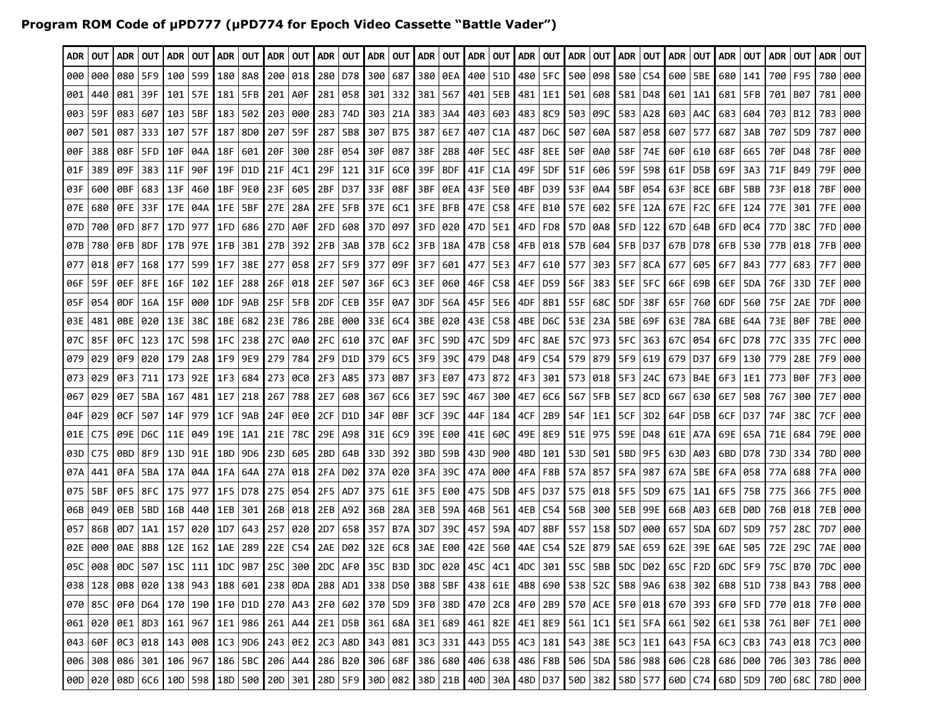## **Program ROM Code of µPD777 (µPD774 for Epoch Video Cassette "Battle Vader")**

| ADR 1 | OUT                                                                                                                                                                                                       |         | ADR   OUT | ADR I     | <b>OUT</b>                                                                                                                                                                                                                  | ADR             | OUT              |         | I ADR   OUT |     | ADR   OUT   ADR   OUT   ADR   OUT   ADR   OUT |        |         |        |            |                 |                                   |           | ADR   OUT |                | ADR   OUT   ADR   OUT                                     |                 |                             |       | ADR OUT          | ADR       | OUT             | ADR I | OUT        | ADR   OUT  |     |
|-------|-----------------------------------------------------------------------------------------------------------------------------------------------------------------------------------------------------------|---------|-----------|-----------|-----------------------------------------------------------------------------------------------------------------------------------------------------------------------------------------------------------------------------|-----------------|------------------|---------|-------------|-----|-----------------------------------------------|--------|---------|--------|------------|-----------------|-----------------------------------|-----------|-----------|----------------|-----------------------------------------------------------|-----------------|-----------------------------|-------|------------------|-----------|-----------------|-------|------------|------------|-----|
| 000   | 000                                                                                                                                                                                                       | 080     | 5F9       | 100       | 599                                                                                                                                                                                                                         | 180             | 8A8              | 200     | 018         |     | 280 D78                                       |        | 300 687 | 380    | 0EA        |                 | 400   51D                         |           | 480   5FC | 500            | 098                                                       |                 | 580 C54                     |       | 600   5BE        | 680       | 141             | 700   | F95        | 780        | 000 |
| 001   | 440                                                                                                                                                                                                       | 081     | 39F       | 101       | 57E                                                                                                                                                                                                                         | 181             | 5FB              | 201     | A0F         |     | 281 058                                       | 301    | 332     | 381    | 567        |                 | 401   5EB                         | 481       | 1E1       | 501            | 608                                                       |                 | 581 D48                     | 601   | 1A1              | 681       | 5FB             | 701   | B07        | 781        | 000 |
| 003   | 59F                                                                                                                                                                                                       | 083     | 607       | 103       | 5BF                                                                                                                                                                                                                         | 183             | 502              | 203     | 000         |     | 283 74D                                       | 303    | 21A     | 383    | 3A4        |                 | 403 603                           | 483       | 8C9       | 503            | 09C                                                       |                 | 583 A28                     | 603   | A4C              | 683       | 604             |       | 703   B12  | 783        | 000 |
| 007   | 501                                                                                                                                                                                                       | 087     | 333       | 107       | 57F                                                                                                                                                                                                                         | 187             | 8D0              | 207     | 59F         | 287 | 5B8                                           | 307    | B75     | 387    | 6E7        |                 | 407   C1A                         | 487       | D6C       | 507            | 60A                                                       | 587             | 058                         | 607   | 577              | 687       | 3AB             | 707   | 5D9        | 787        | 000 |
| 00 F  | 388                                                                                                                                                                                                       | 08F     | 5FD       | 10F       | 04A                                                                                                                                                                                                                         | 18F             | 601              | 20F     | 300         | 28F | 054                                           | 30F    | 087     | 38F    |            | 2B8   40F   5EC |                                   | 48F       |           | 8EE   50F      | 0A0                                                       |                 | 58F 74E                     | l 60F | 610              | I 68F     | 665             | 70F   | D48        | 78F        | 000 |
| 01F   | 389                                                                                                                                                                                                       | 09F     | 383       | 11F       | 90F                                                                                                                                                                                                                         | 19F             | D <sub>1</sub> D | 21F     | 4C1         | 29F | 121                                           | 31F    | 6C0     | 39F    | <b>BDF</b> | 41F             | C1A                               | 49F       | 5DF       | 51F            | 606                                                       | 59F             | 598                         | 61F   | D <sub>5</sub> B | 69F       | 3A3             | 71F   | <b>B49</b> | 79F        | 000 |
| 03F   | 600                                                                                                                                                                                                       | 0BF.    | 683       | 13F       | 460                                                                                                                                                                                                                         | 1BF             | 9E0              | 23F     | 605         |     | 2BF   D37                                     | l 33F. | 08F     | 3BF    |            | 0EA   43F   5E0 |                                   | 4BF I     | D39       | 53F            | 0A4                                                       | 5BF             | 054                         | 63F   | 8CE              | 6BF       | 5BB             | 73F   | 018        | 7BF        | 000 |
| 07E   | 680                                                                                                                                                                                                       | 0FE I   | 33F       |           | 17E   04A                                                                                                                                                                                                                   | 1FE             | 5BF              |         | 27E 28A     |     | 2FE 5FB 37E                                   |        | 6C1     |        |            |                 |                                   |           |           |                | 3FE   BFB   47E   C58   4FE   B10   57E   602   5FE   12A |                 |                             | 67E   |                  | F2C L6FE  | 124             | 77E   | 301        | 7FE        | 000 |
| 07D   | 700                                                                                                                                                                                                       | 0FD 8F7 |           |           | 17D   977                                                                                                                                                                                                                   | 1FD             | 686              |         | 27D   A0F   |     | 2FD 608                                       | l 37D  | 097     | 3FD I  |            |                 | 020   47D   5E1   4FD             |           | FD8       | <b>157D</b>    |                                                           | 0A8 5FD 122     |                             | 67D   | 64B              | l 6FD.    | 0C4             | 77D   | 38C        | 7FD        | 000 |
| 07B   | 780                                                                                                                                                                                                       |         | OFB   8DF |           | 17B   97E                                                                                                                                                                                                                   | 1FB             | 3B1              |         | 27B 392     |     | $2FB$ 3AB                                     | 37B    | 6C2     | 3FBI   |            |                 | 18A   47B   C58   4FB   018       |           |           | <b>I</b> 57B I |                                                           | 604 5FB D37     |                             | 67B   | l D78.           | 6FB       | 530             |       | 77B 018    | 7FB        | 000 |
| 077   | 018                                                                                                                                                                                                       | 0F7     | 168       | 177       | 599                                                                                                                                                                                                                         | 1F7             | 38E              | 277     | 058         | 2F7 | 5F9 377                                       |        | 09F     | l 3F7. |            |                 | 601   477   5E3   4F7             |           |           | 610   577      |                                                           | 303   5F7   8CA |                             | 677   | 605              | l 6F7     | 843             | 777   | 683        | <b>7F7</b> | 000 |
| 06F   | 59F                                                                                                                                                                                                       | 0EF     | 8FE       | 16F       | 102                                                                                                                                                                                                                         | 1EF             | 288              | 26F     | 018         | 2EF | 507                                           | 36F    | 6C3     | 3EF    |            | 060 46F C58     |                                   | 4EF       | D59       | 56F            | 383 I                                                     | 5EF             | 5FC                         | 66F   | 69B              | 6EF       | 5DA             | 76F   | 33D        | 7EF        | 000 |
| 05F   | 054                                                                                                                                                                                                       | 0DF.    | 16A       | 15F       | 000                                                                                                                                                                                                                         | 1DF             | 9AB              | 25F     | 5FB         | 2DF | CEB                                           | l 35F  | 0A7     | 3DF    |            | 56A   45F   5E6 |                                   | 4DF       | 8B1       | 55F            | 68C                                                       | 5DF             | -38F                        | 65F   | 760              | 6DF       | 560             | 75F   | 2AE        | 7DF        | 000 |
| 03E   | 481                                                                                                                                                                                                       | 0BE.    | 020       | 13E       | 38C                                                                                                                                                                                                                         | 1BE             | 682              |         | 23E 786     |     | 2BE 000                                       | 33E    | 6C4     | ' 3BE  | 020        | l 43E   C58     |                                   | 4BE       | D6C       | l 53E          | 23A                                                       |                 | 5BE 69F                     | 63E   | 78A              | 6BE       | 64A             | 73E   | B0F        | 7BE        | 000 |
| 07C   | 85F                                                                                                                                                                                                       |         | 0FC   123 | l 17C     | 598                                                                                                                                                                                                                         | 1FC             | 238              | 27C I   | 0A0         |     | 2FC   610 <b> </b> 37C                        |        | 0AF     | 3FC    |            |                 | 59D   47C   5D9   4FC   8AE       |           |           | 57C            |                                                           | 973   5FC       | 363                         | 67C   | 054              | 6FC I     | D78             | 77C   | 335        | 7FC        | 000 |
| 079   | 029                                                                                                                                                                                                       |         | 0F9 020   | 179       | 2A8                                                                                                                                                                                                                         | 1F9             | 9E9              | 279     | 784         |     | 2F9   D1D   379                               |        | 6C5     | l 3F9  |            | 39C   479   D48 |                                   | 4F9   C54 |           |                | 579   879   5F9   619   679                               |                 |                             |       | D37              | 6F9       | 130             | 779   | 28E        | 7F9        | 000 |
| 073   | 029                                                                                                                                                                                                       | 0F3 711 |           |           | 173 92E                                                                                                                                                                                                                     | 1F3             | 684              |         | 273 000     | 2F3 | A85                                           | l 373  | 0B7     | 3F3    |            | E07   473   872 |                                   | 4F3 301   |           | 5731           |                                                           | 018 5F3 24C     |                             | 673   | B4E              | 6F3       | 1E1             | 773   | B0F        | 7F3        | 000 |
| 067   | 029                                                                                                                                                                                                       | 0E7     | 5BA   167 |           | 481                                                                                                                                                                                                                         | 1E7             | 218              | 267     | 788         | 2E7 | 608                                           | l 367  | 6C6     | I 3E7  | 59C   467  |                 |                                   | 300 4E7   | 6C6       | l 567          |                                                           | 5FB   5E7   8CD |                             | 667   |                  | 630   6E7 | 508             | 767   | 300        | <b>7E7</b> | 000 |
| 04F   | 029                                                                                                                                                                                                       | OCF     | 507       | 14F       | 979                                                                                                                                                                                                                         | 1CF             | 9AB              | 24F I   | 0E0         |     | 2CF   D1D                                     | l 34F  | 0BF     | 3CF    | 39C        |                 | 44F   184                         | 4CF       | 2B9       | l 54F          | 1E1                                                       | 5CF             | 3D <sub>2</sub>             | 64F   | D5B              | l 6CF     | D37             | 74F   | 38C        | 7CF        | 000 |
| 01E   | C75                                                                                                                                                                                                       | 09E     | D6C       | 11E       | 049                                                                                                                                                                                                                         | 19E             | 1A1              | 21E     | 78C         |     | 29E   A98                                     | 31E    | 6C9     | 39E    |            |                 | E00   41E   60C                   | 49E   8E9 |           | 51E            | 975                                                       |                 | 59E   D48                   | 61E   | A7A              | l 69E     | 65A             | 71E   | 684        | 79E        | 000 |
| 03D   | C75                                                                                                                                                                                                       | 0BD.    |           |           | 8F9 13D 91E                                                                                                                                                                                                                 | 1BD             | 9D <sub>6</sub>  | 23D     | 605         | 2BD | 64B                                           | l 33D  | 392     | 3BD    |            | 59B   43D   900 |                                   | 4BD 101   |           | 53D            |                                                           |                 | 501   5BD   9F5   63D       |       | A03              | 6BD.      | D78             |       | 73D 334    | 7BD        | 000 |
| 07A   | 441                                                                                                                                                                                                       | 0 F A I | 5BA       |           | 17A   04A                                                                                                                                                                                                                   | 1FA             | 64A              |         | 27A 018     |     | 2FA   D02   37A                               |        | 020     | 3FA    | 39C        |                 | 47A   000                         | 4FA       | F8B       | 57A            | 857                                                       | 5FA   987       |                             | 67A   | 5BE              | l 6FA     | 058             | 77A   | 688        | 7FA        | 000 |
| 075   | 5BF                                                                                                                                                                                                       |         | 0F5   8FC |           | 175   977                                                                                                                                                                                                                   | 1F5             | D78              | 275     | 054         |     | $2F5$   AD7                                   | l 375  | 61E     | 3F5    |            | E00   475   5DB |                                   | 4F5   D37 |           | 575            |                                                           | 018   5F5       | 5D9                         | 675   | 1A1              | 6F5       | 75B             | 775   | 366        | 7F5        | 000 |
| 06B   | 049                                                                                                                                                                                                       |         | OEB 5BD   | 16B       | 440                                                                                                                                                                                                                         | 1EB             | 301              |         | 26B 018     |     | 2EB   A92 <b> </b> 36B                        |        | 28A     | 3EB    |            |                 | 59A   46B   561   4EB   C54   56B |           |           |                |                                                           | 300   5EB   99E |                             | l 66B | A03              | l 6EB     | D0D             |       | 76B 018    | 7EB        | 000 |
| 057   | 86B                                                                                                                                                                                                       | 0D7     | 1A1       | 157       | 020                                                                                                                                                                                                                         | 1 <sub>D7</sub> | 643              | 257     | 020         | 2D7 | 658                                           | 357    | B7A     | l 3D7  | 39C I      |                 | 457   59A                         | 4D7       | 8BF       | l 557          |                                                           | 158   5D7       | 000                         | 657   | 5DA              | 6D7       | 5D <sub>9</sub> | 757   | 28C        | 7D7        | 000 |
| 02E   | 000                                                                                                                                                                                                       |         | 0AE   8B8 | 12E       | 162                                                                                                                                                                                                                         | 1AE             | 289              | l 22E l | C54         |     | 2AE   D02   32E                               |        | 6C8     | 3AE    |            | E00   42E   560 |                                   | 4AE       |           | C54   52E      |                                                           | 879   5AE   659 |                             | 62E   | 39E              | 6AE       | 505             | 72E   | 29C        | 7AE        | 000 |
|       | 05C 008                                                                                                                                                                                                   | 0DC.    |           | 507   15C | 111                                                                                                                                                                                                                         | 1DC             | 9B7              | l 25C   |             |     | 300 2DC   AF0   35C   B3D   3DC               |        |         |        |            |                 | 020   45C   4C1   4DC             |           | 301       | 55C            |                                                           |                 | 5BB   5DC   D02   65C   F2D |       |                  | 6DC       | 5F9             | 75C   | B70        | 7DC        | 000 |
|       | 038   128   088   020   138   943   188   601   238   0DA   2B8   AD1   338   D50   3B8   5BF   438   61E   4B8   690   538   52C   5B8   9A6   638   302   6B8   51D   738   543   788   000             |         |           |           |                                                                                                                                                                                                                             |                 |                  |         |             |     |                                               |        |         |        |            |                 |                                   |           |           |                |                                                           |                 |                             |       |                  |           |                 |       |            |            |     |
|       | 070   85C   0F0   D64   170   190   1F0   D1D   270   A43   2F0   602   370   5D9   3F0   38D   470   2C8   4F0   2B9   570   ACE   5F0   018   670   393   6F0   5FD   770   018   7F0   018   7F0   000 |         |           |           |                                                                                                                                                                                                                             |                 |                  |         |             |     |                                               |        |         |        |            |                 |                                   |           |           |                |                                                           |                 |                             |       |                  |           |                 |       |            |            |     |
|       | $061$ 020                                                                                                                                                                                                 |         |           |           | 000   161   162   163   164   162   163   164   164   164   164   164   164   164   164   164   165   164   164   165   166   166   167   167   167   167   168   167   168   167   168   167   168   167   168   167   168 |                 |                  |         |             |     |                                               |        |         |        |            |                 |                                   |           |           |                |                                                           |                 |                             |       |                  |           |                 |       |            |            |     |
|       | 043   60F   0C3   018   143   008   1C3   9D6   243   0E2   2C3   A8D   343   081   3C3   331   443   D55   4C3   181   543   35E   5C3   1E1   643   F5A   6C3   CB3   743   018   7C3   000             |         |           |           |                                                                                                                                                                                                                             |                 |                  |         |             |     |                                               |        |         |        |            |                 |                                   |           |           |                |                                                           |                 |                             |       |                  |           |                 |       |            |            |     |
|       | 006   308   086   301   106   967   186   5BC   206   A44   286   820   306   68F   386   680   406   638   486   F8B   506   5DA   586   988   606   C28   686   D00   706   303   786   000             |         |           |           |                                                                                                                                                                                                                             |                 |                  |         |             |     |                                               |        |         |        |            |                 |                                   |           |           |                |                                                           |                 |                             |       |                  |           |                 |       |            |            |     |
|       | 000   020   08D   6C6   10D   598   18D   500   20D   301   28D   5F9   30D   082   38D   21B   40D   30A   48D   D37   50D   382   58D   577   60D   C74   68D   5D9   70D   68C   78D   000             |         |           |           |                                                                                                                                                                                                                             |                 |                  |         |             |     |                                               |        |         |        |            |                 |                                   |           |           |                |                                                           |                 |                             |       |                  |           |                 |       |            |            |     |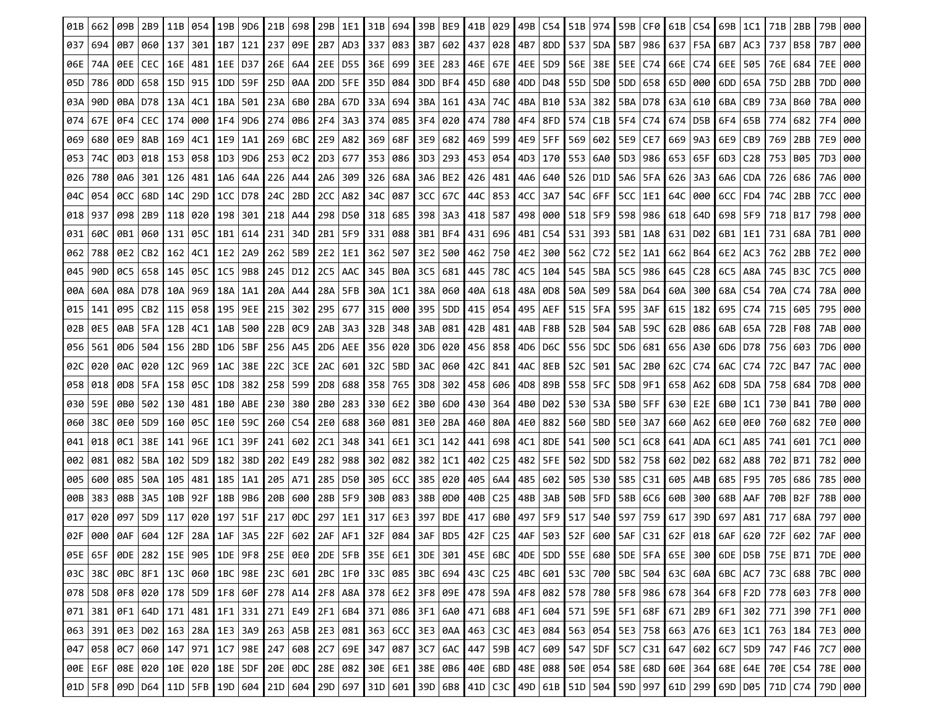| 01B | 662 | 09B       | 2B9                   | 11B | 054                         | 19B | 9D6   | $21B$ 698 |           | 29B   | 1E1         | 31B | 694 I | 39B BE9   |                    | 41B   029 |                             | 49B | C54 |             | 51B 974                           |           | 59B CF0 61B     |       | C54 | 69B   1C1   |                 | 71B | 2BB       | 79B                                                                                                                                                                                                                         | 000 |
|-----|-----|-----------|-----------------------|-----|-----------------------------|-----|-------|-----------|-----------|-------|-------------|-----|-------|-----------|--------------------|-----------|-----------------------------|-----|-----|-------------|-----------------------------------|-----------|-----------------|-------|-----|-------------|-----------------|-----|-----------|-----------------------------------------------------------------------------------------------------------------------------------------------------------------------------------------------------------------------------|-----|
| 037 | 694 | 0B7       | 060                   | 137 | 301 I                       | 1B7 | 121   | 237       | 09E       | 2B7   | AD3         | 337 | 083   | 3B7       | 602                | 437       | 028                         | 4B7 | 8DD | 537   5DA   |                                   | 5B7       | 986   637       |       | F5A | 6B7         | AC3             | 737 | B58       | 7B7                                                                                                                                                                                                                         | 000 |
| 06E | 74A | OEE   CEC |                       | 16E | 481   1EE                   |     | D37   | 26E   6A4 |           | 2EE I | D55 I       | 36E | 699   | 3EE   283 |                    | 46E       | 67E                         | 4EE | 5D9 |             | 56E   38E                         | 5EE       | C74             | 66E   | C74 | 6EE   505   |                 | 76E | 684       | 7EE                                                                                                                                                                                                                         | 000 |
| 05D | 786 |           | 0DD   658   15D   915 |     |                             | 1DD | 59F   | 25D   0AA |           |       | $2DD$   5FE | 35D | 084   |           | 3DD   BF4          |           | 45D   680                   | 4DD |     |             | D48   55D   5D0                   |           | 5DD   658   65D |       | 000 | 6DD   65A   |                 | 75D | 2BB       | 7DD                                                                                                                                                                                                                         | 000 |
| 03A | 90D | 0 BA I    | D78                   | 13A | 4C1                         | 1BA | 501   | 23A 6B0   |           | 2BA   | 67D I       | 33A | 694   | 3BA   161 |                    | 43A       | 74C                         | 4BA | B10 | 53A 382     |                                   | 5BA       | D78             | 63A   | 610 | 6BA.        | CB <sub>9</sub> | 73A | B60       | 7BA                                                                                                                                                                                                                         | 000 |
| 074 | 67E |           | 0F4   CEC             | 174 | 000   1F4                   |     | 9D6   |           | 274 0B6   | 2F4   | 3A3   374   |     | 085   |           |                    |           | 3F4   020   474   780   4F4 |     | 8FD |             | 574   C1B                         |           | 5F4   C74   674 |       | D5B | 6F4   65B   |                 | 774 | 682       | 7F4                                                                                                                                                                                                                         | 000 |
| 069 | 680 | 0E9   8AB |                       | 169 | 4C1   1E9                   |     | 1A1   |           | 269 6BC   |       | 2E9   A82   | 369 |       |           | 68F 3E9 682        |           | 469   599 <b> </b> 4E9      |     |     |             | 5FF   569   602   5E9   CE7       |           |                 | 669   | 9A3 | 6E9   CB9   |                 | 769 | 2BB       | 7E9                                                                                                                                                                                                                         | 000 |
| 053 | 74C | 0D3       | 018                   | 153 | 058                         | 1D3 | 9D6   | 253 0C2   |           | 2D3   | 677         | 353 | 086   |           | 3D3   293          | 453       | 054                         | 4D3 | 170 | 553   6A0   |                                   | 5D3       | 986             | 653   | 65F | 6D3         | C28             | 753 | B05       | 7D3                                                                                                                                                                                                                         | 000 |
| 026 | 780 | 0A6 301   |                       | 126 | 481   1A6                   |     | 64A   |           | 226 A44   | 2A6   | -309 I      | 326 | 68A   |           | 3A6   BE2 <b> </b> |           | 426   481   4A6             |     | 640 |             | 526   D1D                         | 5A6 I     | 5FA   626       |       | 3A3 |             | $6A6$   CDA     | 726 | 686       | 7A6                                                                                                                                                                                                                         | 000 |
| 04C | 054 | 0CC       | 68D                   | 14C | 29D   1CC                   |     | D78   | 24C 2BD   |           | 2CC I | A82 I       | 34C | 087   |           | 3CC   67C          |           | 44C   853   4CC             |     | 3A7 |             | 54C   6FF                         | 5CC       | 1E1             | 64C   | 000 | $6CC$   FD4 |                 | 74C | 2BB       | 7CC                                                                                                                                                                                                                         | 000 |
| 018 | 937 | 098       | 2B9                   | 118 | 020 I                       | 198 | 301   | 218 A44   |           |       | 298   D50   | 318 | 685   |           | 398   3A3          | 418       | 587                         | 498 | 000 | $518$   5F9 |                                   | 598       | 986             | 618   | 64D | $698$   5F9 |                 | 718 | B17       | 798                                                                                                                                                                                                                         | 000 |
| 031 | 60C |           |                       |     | 0B1   060   131   05C   1B1 |     | 614 I | 231   34D |           | 2B1   | 5F9 331     |     | 088   |           |                    |           | 3B1   BF4   431   696   4B1 |     | C54 |             | 531   393 <b> </b> 5B1            |           | 1A8   631       |       | D02 | 6B1   1E1   |                 | 731 | 68A       | 7B1                                                                                                                                                                                                                         | 000 |
| 062 | 788 | $0E2$ CB2 |                       | 162 | 4C1   1E2                   |     | 2A9   | 262 5B9   |           | 2E2   | 1E1         | 362 | 507   | 3E2   500 |                    |           | 462   750   4E2             |     | 300 |             | 562 C72 15E2                      |           | 1A1 I           | 662   | B64 | 6E2   AC3   |                 | 762 | 2BB       | 7E2                                                                                                                                                                                                                         | 000 |
| 045 | 90D | OC5   658 |                       | 145 | 05C I                       | 1C5 | 9B8   | 245 D12   |           | 2C5   | AAC         | 345 | B0A   | 3C5   681 |                    | 445       | ∣78C I                      | 4C5 | 104 |             | 545   5BA                         | 5C5       | 986             | 645   | C28 | 6C5   A8A   |                 |     | 745   B3C | 7C5                                                                                                                                                                                                                         | 000 |
| 00A | 60A |           |                       |     | 08A   D78   10A   969       | 18A | 1A1   |           | 20A   A44 |       | 28A   5FB   | 30A | 1C1   |           | 38A   060          |           | 40A   618   48A             |     | 0D8 |             | 50A   509   58A   D64             |           |                 | 60A   | 300 |             | 68A   C54       | 70A | C74       | 78A                                                                                                                                                                                                                         | 000 |
| 015 | 141 | 095       | CB <sub>2</sub>       | 115 | 058                         | 195 | 9EE   | 215       | 302       |       | 295 677     | 315 | 000   | 395   5DD |                    | 415       | 054                         | 495 | AEF |             | 515   5FA                         | 595       | 3AF             | 615   | 182 |             | 695   C74       | 715 | 605       | 795                                                                                                                                                                                                                         | 000 |
| 02B | 0E5 |           | 0AB   5FA             | 12B | 4C1                         | 1AB | 500   | 22B 0C9   |           | 2AB   | -3A3 I      | 32B | 348   | 3AB I     | 081                | 42B       | 481                         | 4AB | F8B | 52B 504     |                                   | 5AB       | 59C             | 62B   | 086 | 6AB   65A   |                 | 72B | F08       | 7AB                                                                                                                                                                                                                         | 000 |
| 056 | 561 |           |                       |     | 0D6   504   156   2BD   1D6 |     | 5BF   | 256   A45 |           |       | 2D6   AEE   | 356 | 020   |           | 3D6   020 <b> </b> |           | 456   858   4D6             |     |     |             | D6C   556   5DC   5D6   681   656 |           |                 |       | A30 | 6D6   D78   |                 |     | 756 603   | 7D6                                                                                                                                                                                                                         | 000 |
| 02C | 020 | 0AC   020 |                       | 12C | 969                         | 1AC | 38E   | 22C 3CE   |           | 2AC   | 601 I       | 32C | 5BD   |           | 3AC   060          | 42C       | 841                         | 4AC | 8EB | 52C 501     |                                   | 5AC       | 2B0 62C         |       | C74 | 6AC   C74   |                 | 72C | B47       | 7AC                                                                                                                                                                                                                         | 000 |
| 058 | 018 |           |                       |     | 0D8   5FA   158   05C       | 1D8 | 382   | 258   599 |           |       | 2D8 688 I   | 358 | 765   |           | 3D8   302          |           | 458 606 4D8                 |     | 89B |             | 558   5FC                         |           | 5D8 9F1         | 658   | A62 |             | 6D8   5DA       |     | 758 684   | 7D8                                                                                                                                                                                                                         | 000 |
| 030 | 59E |           |                       |     | 0B0   502   130   481       | 1B0 | ABE   | 230   380 |           |       | 2B0 283     | 330 | 6E2   |           | 3B0   6D0 <b> </b> |           | 430   364                   | 4B0 | D02 |             | 530   53A <b> </b>                |           | 5B0 5FF         | 630   | E2E | 6B0 1C1     |                 |     | 730   B41 | 7B0                                                                                                                                                                                                                         | 000 |
| 060 | 38C | 0E0   5D9 |                       | 160 | 05C   1E0                   |     | 59C   |           | 260 C54   |       | 2E0 688     | 360 | 081   |           | 3E0   2BA <b> </b> |           | 460   80A   4E0             |     | 882 |             | 560   5BD <b> </b>                | 5E0       | 3A7             | 660   | A62 | 6E0   0E0   |                 |     | 760 682   | 7E0                                                                                                                                                                                                                         | 000 |
| 041 | 018 | 0C1   38E |                       | 141 | 96E I 1C1                   |     | 39F   | 241 602   |           | 2C1   | 348         | 341 | 6E1   | 3C1   142 |                    |           | 441   698                   | 4C1 | 8DE |             | 541   500                         | 5C1       | 6C8             | 641   | ADA | 6C1         | A85             | 741 | 601       | 7C1                                                                                                                                                                                                                         | 000 |
| 002 | 081 |           | 082   5BA             | 102 | l 5D9 l                     | 182 | 38D   |           | 202 E49   |       | 282 988     | 302 | 082   |           | 382   1C1          |           | 402   C <sub>25</sub>       | 482 |     |             | 5FE   502   5DD   582             |           | 758             | 602   | D02 | 682   A88   |                 | 702 | B71       | 782                                                                                                                                                                                                                         | 000 |
| 005 | 600 | 085       | 50A                   | 105 | 481                         | 185 | 1A1   | 205 A71   |           |       | 285   D50   | 305 | 6CC   |           | 385   020          |           | 405   6A4                   | 485 | 602 |             | 505   530                         |           | 585 C31         | 605   | A4B | 685   F95   |                 | 705 | 686       | 785                                                                                                                                                                                                                         | 000 |
| 00B | 383 | 08B 3A5   |                       |     | 10B 92F                     | 18B | 9B6   | 20B 600   |           |       | 28B   5F9   | 30B | 083   | 38B 0D0   |                    |           | 40B C25                     | 48B | 3AB |             | 50B   5FD   58B   6C6             |           |                 | 60B   | 300 | 68B   AAF   |                 |     | 70B   B2F | 78B                                                                                                                                                                                                                         | 000 |
| 017 | 020 | 097       | 5D9                   | 117 | 020                         | 197 | 51F   | 217       | ODC       | 297   | 1E1         | 317 | 6E3   | 397       | BDE                | 417       | 6B0                         | 497 | 5F9 |             | 517 540 597                       |           | 759             | 617   | 39D | 697         | A81             | 717 | 68A       | 797                                                                                                                                                                                                                         | 000 |
| 02F | 000 | 0AF       | 604   12F             |     | 28A                         | 1AF | 3A5   | 22F       | 602       | 2AF   | AF1 I       | 32F | 084   | 3AF       | BD5 I              | 42F       | $C25$   4AF                 |     | 503 | 52F         |                                   | 600   5AF | C31             | l 62F | 018 | 6AF         | 620             | 72F | 602       | 7AF                                                                                                                                                                                                                         | 000 |
|     |     |           |                       |     |                             |     |       |           |           |       |             |     |       |           |                    |           |                             |     |     |             |                                   |           |                 |       |     |             |                 |     |           | 050   076   076   076   076   077   076   077   078   079   079   079   079   079   079   079   079   079   079   079   079   079   079   079   079   079   079   079   079   079   079   079   079   079   079   079   079 |     |
|     |     |           |                       |     |                             |     |       |           |           |       |             |     |       |           |                    |           |                             |     |     |             |                                   |           |                 |       |     |             |                 |     |           | 03C 38C 0BC 8F1 13C 060 1BC 98E 23C 601 2BC 1F0 33C 085 3BC 694 43C C25 4BC 601 53C 700 5BC 504 63C 60A 6BC AC7 73C 688 7BC 000                                                                                             |     |
|     |     |           |                       |     |                             |     |       |           |           |       |             |     |       |           |                    |           |                             |     |     |             |                                   |           |                 |       |     |             |                 |     |           |                                                                                                                                                                                                                             |     |
|     |     |           |                       |     |                             |     |       |           |           |       |             |     |       |           |                    |           |                             |     |     |             |                                   |           |                 |       |     |             |                 |     |           | 071 381 0F1 64D 171 481 1F1 331 271 E49 2F1 6B4 371 086 3F1 6A0 471 6B8 4F1 600 571 59E 5F1 68F 671 2B9 6F1 302 771 390 7F1 000                                                                                             |     |
|     |     |           |                       |     |                             |     |       |           |           |       |             |     |       |           |                    |           |                             |     |     |             |                                   |           |                 |       |     |             |                 |     |           | 063   391   0E3   D02   163   28A   1E3   3A9   263   A5B   2E3   081   363   6CC   3E3   0AA   463   C3C   4E3   084   563   054   5E3   758   663   A76   6E3   1C1   763   184   7E3   000                               |     |
|     |     |           |                       |     |                             |     |       |           |           |       |             |     |       |           |                    |           |                             |     |     |             |                                   |           |                 |       |     |             |                 |     |           | 047   058   0C7   060   147   971   1C7   98E   247   608   2C7   69E   347   087   3C7   6AC   447   59B   4C7   609   547   5DF   5C7   C31   647   602   6C7   5D9   747   F46   7C7   000                               |     |
|     |     |           |                       |     |                             |     |       |           |           |       |             |     |       |           |                    |           |                             |     |     |             |                                   |           |                 |       |     |             |                 |     |           | 000   076   086   086   086   086   086   086   087   086   087   087   088   089   089   088   088   088   087   087   088   088   087   087   088   088   088   088   088   088   088   088   088   088   088   088   088 |     |
|     |     |           |                       |     |                             |     |       |           |           |       |             |     |       |           |                    |           |                             |     |     |             |                                   |           |                 |       |     |             |                 |     |           | 010   5F8   09D   D64   11D   5FB   19D   604   21D   604   29D   697   31D   601   39D   6B8   41D   C3C   49D   6IB   51D   504   59D   997   61D   299   69D   D05   71D   C74   79D   000   000                         |     |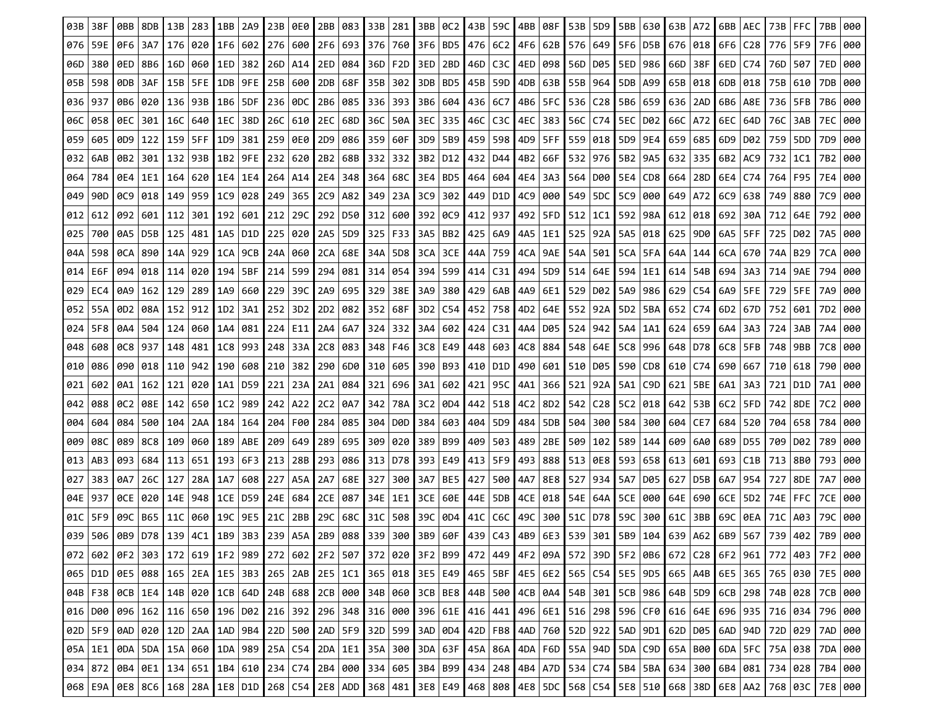| 03B | 38F |                 | 8DB                   | 13B | 283             | 1BB       | 2A9  | 23B       | 0E0                 | 2BB             | 083             | 33B | 281              | 3BB       | 0C2                             | 43B | 59C               | 4BB             | 08F             | 53B 5D9         |                                                                                                                                                                                                     | 5BB | 630             | l 63B | A72 | 6BB   AEC   |           | 73B       | <b>FFC</b> | 7BB  |     |
|-----|-----|-----------------|-----------------------|-----|-----------------|-----------|------|-----------|---------------------|-----------------|-----------------|-----|------------------|-----------|---------------------------------|-----|-------------------|-----------------|-----------------|-----------------|-----------------------------------------------------------------------------------------------------------------------------------------------------------------------------------------------------|-----|-----------------|-------|-----|-------------|-----------|-----------|------------|------|-----|
| 076 | 59E | 0F6             | 3A7                   |     | 176   020   1F6 |           | 602  | 276   600 |                     |                 | 2F6 693 376     |     | 760              | 3F6 BD5   |                                 |     | 476 6C2 4F6       |                 | 62B             | 576 649         |                                                                                                                                                                                                     |     | 5F6   D5B   676 |       | 018 | 6F6         | C28       | 776   5F9 |            | 7F6  | 000 |
| 06D | 380 |                 | 0ED   8B6             | 16D | 060   1ED       |           | 382  | 26D   A14 |                     | 2ED             | 084             | 36D | F <sub>2</sub> D | 3ED   2BD |                                 | 46D | C3C               | l 4ED           | 098             |                 | 56D   D05                                                                                                                                                                                           | 5ED | 986             | 66D   | 38F | 6ED   C74   |           | 76D       | 507        | 7ED  | 000 |
| 05B | 598 | ODB 3AF         |                       |     | 15B   5FE   1DB |           | 9FE. | 25B   600 |                     |                 | 2DB   68F       | 35B | 302              | 3DB   BD5 |                                 |     | 45B   59D         | 4DB             | 63B             |                 | 55B   964                                                                                                                                                                                           |     | 5DB A99         | 65B   | 018 | 6DB 018     |           | 75B 610   |            | 7DB  | 000 |
| 036 | 937 | 0B6   020       |                       |     | 136   93B   1B6 |           | 5DF  | 236   0DC |                     |                 | 2B6 085 336     |     | 393              |           | 3B6   604                       |     | 436   6C7         | 4B6             | SFC I           |                 | 536   C28   5B6   659                                                                                                                                                                               |     |                 | 636   | 2AD | 6B6   A8E   |           | 736   5FB |            | 7B6  | 000 |
| 06C | 058 | 0EC   301       |                       |     | 16C   640   1EC |           | 38D  |           | 26C 610 2EC 68D 36C |                 |                 |     | 50A I            |           | 3EC   335 <b> </b>              |     | 46C   C3C   4EC   |                 | 383             |                 | 56C   C74   5EC   D02                                                                                                                                                                               |     |                 | 66C   | A72 |             | 6EC   64D | 76C       | 3AB        | 7EC  | 000 |
| 059 | 605 |                 | 0D9   122   159   5FF |     |                 | 1D9       | 381  |           | 259 0E0             |                 | 2D9   086   359 |     | 60F              |           | 3D9   5B9                       |     | 459   598   4D9   |                 | 5FF             |                 | 559   018                                                                                                                                                                                           |     | 5D9 9E4         | 659   | 685 | 6D9   D02   |           | 759       | 5DD        | 7D9  | 000 |
| 032 | 6AB | 0B2             | 301                   | 132 | 93B             | 1B2       | 9FE  | 232   620 |                     | 2B <sub>2</sub> | 68B             | 332 | 332              | 3B2   D12 |                                 |     | 432   D44         | 4B2             | 66F             |                 | 532 976 5B2                                                                                                                                                                                         |     | 9A5 I           | 632   | 335 | 6B2   AC9   |           | 732       | 1C1        | 7B2  | 000 |
| 064 | 784 | 0E4   1E1       |                       |     | 164   620   1E4 |           | 1E4  |           | 264   A14           | 2E4             | 348   364       |     | 68C              |           | 3E4   BD5 <b> </b>              |     | 464   604   4E4   |                 | 3A3             |                 | 564   D00   5E4   CD8   664                                                                                                                                                                         |     |                 |       | 28D |             | 6E4   C74 | 764       | F95        | 7E4  | 000 |
| 049 | 90D |                 | OC9   018             |     | 149   959   1C9 |           | 028  |           | 249   365           |                 | 2C9   A82       | 349 |                  |           | 23A   3C9   302                 |     | 449   D1D   4C9   |                 | 000             |                 | 549   5DC   5C9   000                                                                                                                                                                               |     |                 | 649   | A72 | 6C9   638   |           | 749       | 880        | 7C9  | 000 |
| 012 | 612 | 092             | 601                   | 112 | 301             | 192       | 601  | 212 29C   |                     | 292             | D50 I           | 312 | 600              | 392   OC9 |                                 | 412 | 937               | 492             | 5FD             |                 | $512 \mid 1C1$                                                                                                                                                                                      | 592 | 98A             | 612   | 018 | 6921        | 30A       | 712       | 64E        | 792  | 000 |
| 025 | 700 | 0A5   D5B       |                       | 125 | 481 I 1A5       |           | D1D  |           | 225   020           | 2A5             | 5D9 I           | 325 | F33              |           | 3A5   BB2 <b> </b>              |     | 425   6A9   4A5   |                 | 1E1             |                 | 525   92A                                                                                                                                                                                           | 5A5 | 018             | 625   | 9D0 | 6A5   5FF   |           | 725       | D02        | 7A5  | 000 |
| 04A | 598 | 0CA   890       |                       |     | 14A   929       | 1CA       | 9CB  | 24A   060 |                     |                 | 2CA 68E         | 34A | 5D8              | 3CA   3CE |                                 |     | 44A   759   4CA   |                 | 9AE             | 54A   501       |                                                                                                                                                                                                     | 5CA | 5FA             | 64A   | 144 | 6CA 670     |           | 74A       | B29        | 7CA  | 000 |
| 014 | E6F | 094             | 018                   | 114 | 020             | 194       | 5BF  | 214 599   |                     | 294             | 081 I           | 314 | 054              | 394 599   |                                 | 414 | C31               | 494             | 5D <sub>9</sub> | 514             | 64E                                                                                                                                                                                                 | 594 | 1E1             | 614   | 54B | 694 I       | 3A3       | 714       | 9AE        | 794  | 000 |
| 029 | EC4 |                 | $0A9$   162   129     |     | 289   1A9       |           | 660  |           | 229 39C             |                 | 2A9 695 329     |     | 38E              |           | 3A9   380 <b> </b>              |     | 429   6AB   4A9   |                 | 6E1             |                 | 529 D02 I                                                                                                                                                                                           | 5A9 | 986 629         |       | C54 |             | 6A9   5FE | 729       | 5FE        | 7A9  | 000 |
| 052 | 55A | 0D <sub>2</sub> | 08A                   |     | 152   912   1D2 |           | 3A1  | 252 3D2   |                     |                 | 2D2   082       | 352 | 68F              | 3D2   C54 |                                 |     | 452   758         | 4D <sub>2</sub> |                 | 64E   552   92A |                                                                                                                                                                                                     |     | 5D2   5BA   652 |       | C74 | 6D2 67D     |           |           | 752 601    | 7D2  | 000 |
| 024 | 5F8 |                 | 0A4   504             | 124 | 060 I 1A4       |           | 081  | 224 E11   |                     | 2A4             | 6A7             | 324 | 332              |           | 3A4   602                       |     | $424$   C31   4A4 |                 | D05             |                 | 524 942                                                                                                                                                                                             | 5A4 | 1A1             | 624   | 659 | 6A4         | 3A3       | 724       | 3AB        | 7A4  | 000 |
| 048 | 608 | OC8   937       |                       |     | 148   481   1C8 |           | 993  |           | 248   33A <b> </b>  |                 | 2C8   083   348 |     | F46              |           | 3C8   E49   448   603   4C8     |     |                   |                 | 884             |                 | 548 64E 5C8 996 648                                                                                                                                                                                 |     |                 |       | D78 | 6C8   5FB   |           | 748   9BB |            | 7C8  | 000 |
| 010 | 086 | 090             | 018                   |     | 110   942       | 190       | 608  | 210 382   |                     |                 | 290 6D0 310     |     | 605              |           | 390   B93 <b> </b>              |     | 410   D1D   490   |                 | 601             |                 | 510   D05   590   CD8   610                                                                                                                                                                         |     |                 |       | C74 | 690 667     |           |           | 710   618  | 790  | 000 |
| 021 | 602 | 0A1   162       |                       | 121 | 020   1A1       |           | D59  |           | 221 23A             | 2A1             | ∣ 084 I         | 321 | 696              |           | 3A1   602                       | 421 | 95C               | 4A1             | 366             |                 | 521   92A                                                                                                                                                                                           | 5A1 | C9D I           | 621   | 5BE | 6A1   3A3   |           | 721       | D1D        | 7A1  | 000 |
| 042 | 088 |                 | 0C2   08E             |     | 142   650   1C2 |           | 989  |           | 242 A22             | 2C2             | 0A7             | 342 | 78A              |           | 3C2   0D4 <b> </b>              |     | 442   518   4C2   |                 | 8D2             |                 | 542   C28   5C2   018   642                                                                                                                                                                         |     |                 |       | 53B |             | 6C2   5FD |           | 742   8DE  | 7C2  | 000 |
| 004 | 604 | 084             | 500                   | 104 |                 | 2AA   184 | 164  |           | 204 F00             | 284             | 085             | 304 | D0D              |           | 384   603                       | 404 | -5D9              | 484             | 5DB             |                 | 504   300                                                                                                                                                                                           | 584 | 300   604       |       | CE7 | 684 520     |           | 704       | 658        | 784  | 000 |
| 009 | 08C | 089   8C8       |                       | 109 | 060   189       |           | ABE  | 209   649 |                     |                 | 289 695         | 309 | 020              | 389   B99 |                                 |     | 409   503         | 489             | 2BE             |                 | 509   102                                                                                                                                                                                           | 589 | 144             | 609   | 6A0 | 689 D55     |           | 709       | D02        | 789  | 000 |
| 013 | AB3 |                 | 093   684             |     | 113   651   193 |           | 6F3  | 213   28B |                     |                 | 293   086   313 |     |                  |           | D78 393   E49   413   5F9   493 |     |                   |                 | 888             |                 | 513   0E8   593   658   613                                                                                                                                                                         |     |                 |       | 601 | 693   C1B   |           |           | 713   8B0  | 793  | 000 |
| 027 | 383 | 0A7             | 26C                   | 127 | 28A   1A7       |           | 608  |           | 227 A5A             | 2A7             | 68E I           | 327 | 300              | 3A7   BE5 |                                 | 427 | 500   4A7         |                 | 8E8             |                 | 527   934                                                                                                                                                                                           | 5A7 | D05             | 627   | D5B | 6A7   954   |           | 727       | 8DE        | 7A7  | 000 |
| 04E | 937 | 0CE             | 020                   |     | 14E   948       | 1CE       | D59  |           | 24E 684             |                 | 2CE   087       | 34E | 1E1              |           | 3CE   60E                       |     | 44E   5DB         | 4CE             | 018             |                 | 54E   64A                                                                                                                                                                                           | 5CE | 000             | 64E   | 690 | $6CE$   5D2 |           | 74E       | I FFC.     | 7CE  | 000 |
| 01C | 5F9 | 09C I           | B65                   | 11C | 060   19C       |           | 9E5  | 21C 2BB   |                     | 29C l           | 68C             | 31C | 508              | 39C   0D4 |                                 |     | 41C   C6C         | 49C             | 300             |                 | 51C   D78   59C                                                                                                                                                                                     |     | 300 61C         |       | 3BB | 69C   0EA   |           | 71C       | A03        | 79C  | 000 |
| 039 | 506 |                 | 0B9 D78 139           |     | 4C1             | 1B9       | 3B3  |           | 239   A5A <b> </b>  |                 | 2B9 088 339     |     | 300              | 3B9       | 60F                             |     | 439 C43 4B9       |                 | 6E3             | 539             | 301                                                                                                                                                                                                 | 5B9 | 104             | 639   | A62 | 6B9         | 567       | 739       | 402        | 7B9. | 000 |
|     |     |                 |                       |     |                 |           |      |           |                     |                 |                 |     |                  |           |                                 |     |                   |                 |                 |                 | 072 602 6F2 303 172 619 172 619 172 989 272 602 2F2 507 372 020 3F2 899 472 449 4F2 09A 572 39D 5F2 0B6 672 C28 6F2 961 772 403 7F2 000                                                             |     |                 |       |     |             |           |           |            |      |     |
|     |     |                 |                       |     |                 |           |      |           |                     |                 |                 |     |                  |           |                                 |     |                   |                 |                 |                 | 065   010   0E5   088   165   2EA   1E5   3B3   265   2AB   2E5   1C1   365   018   3E5   E49   465   5BF   4E5   6E2   565   C54   5E5   9D5   665   A4B   6E5   365   365   765   030   7E5   000 |     |                 |       |     |             |           |           |            |      |     |
|     |     |                 |                       |     |                 |           |      |           |                     |                 |                 |     |                  |           |                                 |     |                   |                 |                 |                 | 04B   F38   0CB   1E4   14B   020   1CB   64D   24B   688   2CB   000   34B   060   3CB   BE8   44B   500   4CB   0A4   54B   301   5CB   986   64B   5D9   6CB   298   74B   028   7CB   000       |     |                 |       |     |             |           |           |            |      |     |
|     |     |                 |                       |     |                 |           |      |           |                     |                 |                 |     |                  |           |                                 |     |                   |                 |                 |                 |                                                                                                                                                                                                     |     |                 |       |     |             |           |           |            |      |     |
|     |     |                 |                       |     |                 |           |      |           |                     |                 |                 |     |                  |           |                                 |     |                   |                 |                 |                 | 02D   5F9   0AD   020   12D   2AA   1AD   9B4   22D   500   2AD   5F9   32D   599   3AD   0D4   42D   FB8   4AD   760   52D   922   5AD   9D1   62D   D05   6AD   94D   72D   029   7AD   000       |     |                 |       |     |             |           |           |            |      |     |
|     |     |                 |                       |     |                 |           |      |           |                     |                 |                 |     |                  |           |                                 |     |                   |                 |                 |                 | 05A   1E1   0DA   5DA   15A   060   1DA   989   25A   C54   2DA   1E1   35A   300   3DA   63F   45A   86A   4DA   F6D   55A   94D   5DA   C9D   65A   800   6DA   5FC   75A   038   7DA   000       |     |                 |       |     |             |           |           |            |      |     |
|     |     |                 |                       |     |                 |           |      |           |                     |                 |                 |     |                  |           |                                 |     |                   |                 |                 |                 | 034 872 084 061 134 651 184 610 234 C74 284 000 334 605 384 899 434 248 484 A70 534 C74 584 584 634 300 684 081 734 028 784 000                                                                     |     |                 |       |     |             |           |           |            |      |     |
|     |     |                 |                       |     |                 |           |      |           |                     |                 |                 |     |                  |           |                                 |     |                   |                 |                 |                 | 068 E9A 0E8 8C6 168 28A 1E8 D1D 268 C54 2E8 ADD 368 481 3E8 E49 468 808 4E8 5DC 568 C54 5E8 510 668 38D 6E8 AA2 768 03C 7E8 000                                                                     |     |                 |       |     |             |           |           |            |      |     |